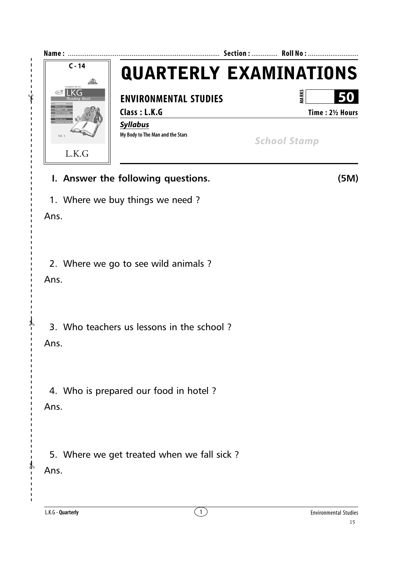

- **I. Answer the following questions. (5M)**
- 1. Where we buy things we need ?

Ans.

2. Where we go to see wild animals ?

Ans.

3. Who teachers us lessons in the school ?

Ans.

✃

4. Who is prepared our food in hotel ?

Ans.

5. Where we get treated when we fall sick ?

Ans.

✃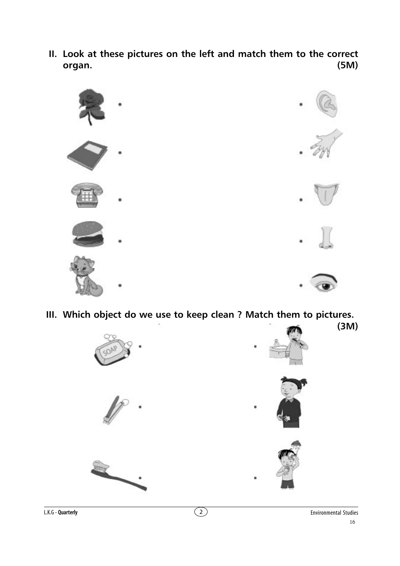**II. Look at these pictures on the left and match them to the correct organ. (5M)**



**III. Which object do we use to keep clean ? Match them to pictures.**

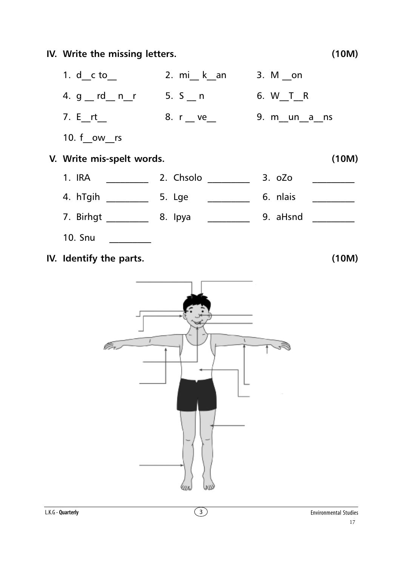IV. Write the missing letters.  $(10M)$ 4. g \_\_ rd\_\_ n\_\_r 5. S \_\_ n 6. W T R 9. m un a ns 10. f ow rs V. Write mis-spelt words.  $(10M)$ <u>and a strong product</u> **10. Snu**  $(10M)$ 

IV. Identify the parts.